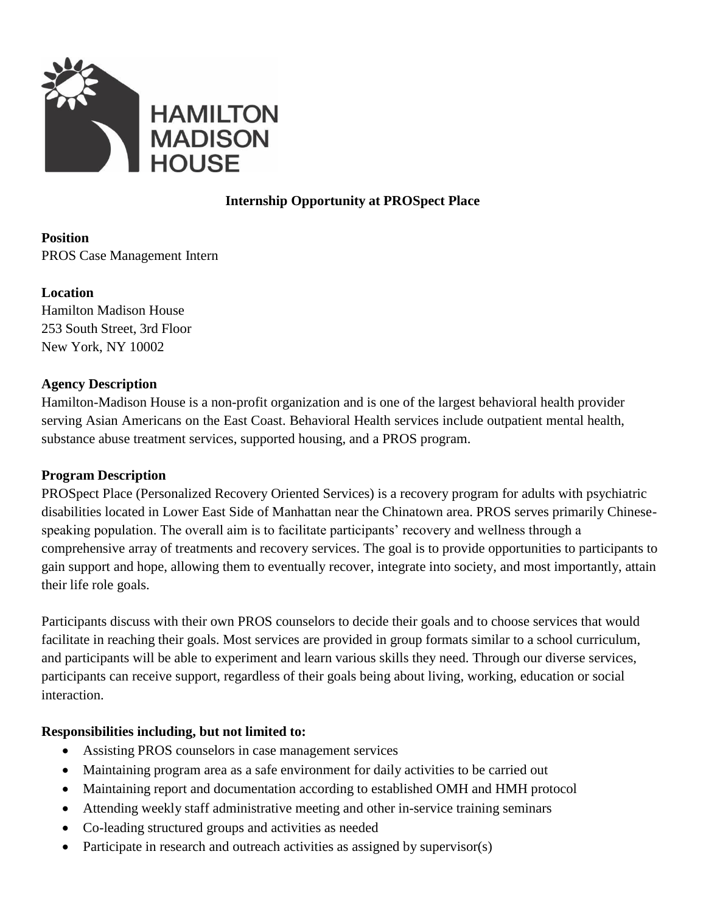

# **Internship Opportunity at PROSpect Place**

## **Position** PROS Case Management Intern

#### **Location**

Hamilton Madison House 253 South Street, 3rd Floor New York, NY 10002

## **Agency Description**

Hamilton-Madison House is a non-profit organization and is one of the largest behavioral health provider serving Asian Americans on the East Coast. Behavioral Health services include outpatient mental health, substance abuse treatment services, supported housing, and a PROS program.

## **Program Description**

PROSpect Place (Personalized Recovery Oriented Services) is a recovery program for adults with psychiatric disabilities located in Lower East Side of Manhattan near the Chinatown area. PROS serves primarily Chinesespeaking population. The overall aim is to facilitate participants' recovery and wellness through a comprehensive array of treatments and recovery services. The goal is to provide opportunities to participants to gain support and hope, allowing them to eventually recover, integrate into society, and most importantly, attain their life role goals.

Participants discuss with their own PROS counselors to decide their goals and to choose services that would facilitate in reaching their goals. Most services are provided in group formats similar to a school curriculum, and participants will be able to experiment and learn various skills they need. Through our diverse services, participants can receive support, regardless of their goals being about living, working, education or social interaction.

## **Responsibilities including, but not limited to:**

- Assisting PROS counselors in case management services
- Maintaining program area as a safe environment for daily activities to be carried out
- Maintaining report and documentation according to established OMH and HMH protocol
- Attending weekly staff administrative meeting and other in-service training seminars
- Co-leading structured groups and activities as needed
- Participate in research and outreach activities as assigned by supervisor(s)